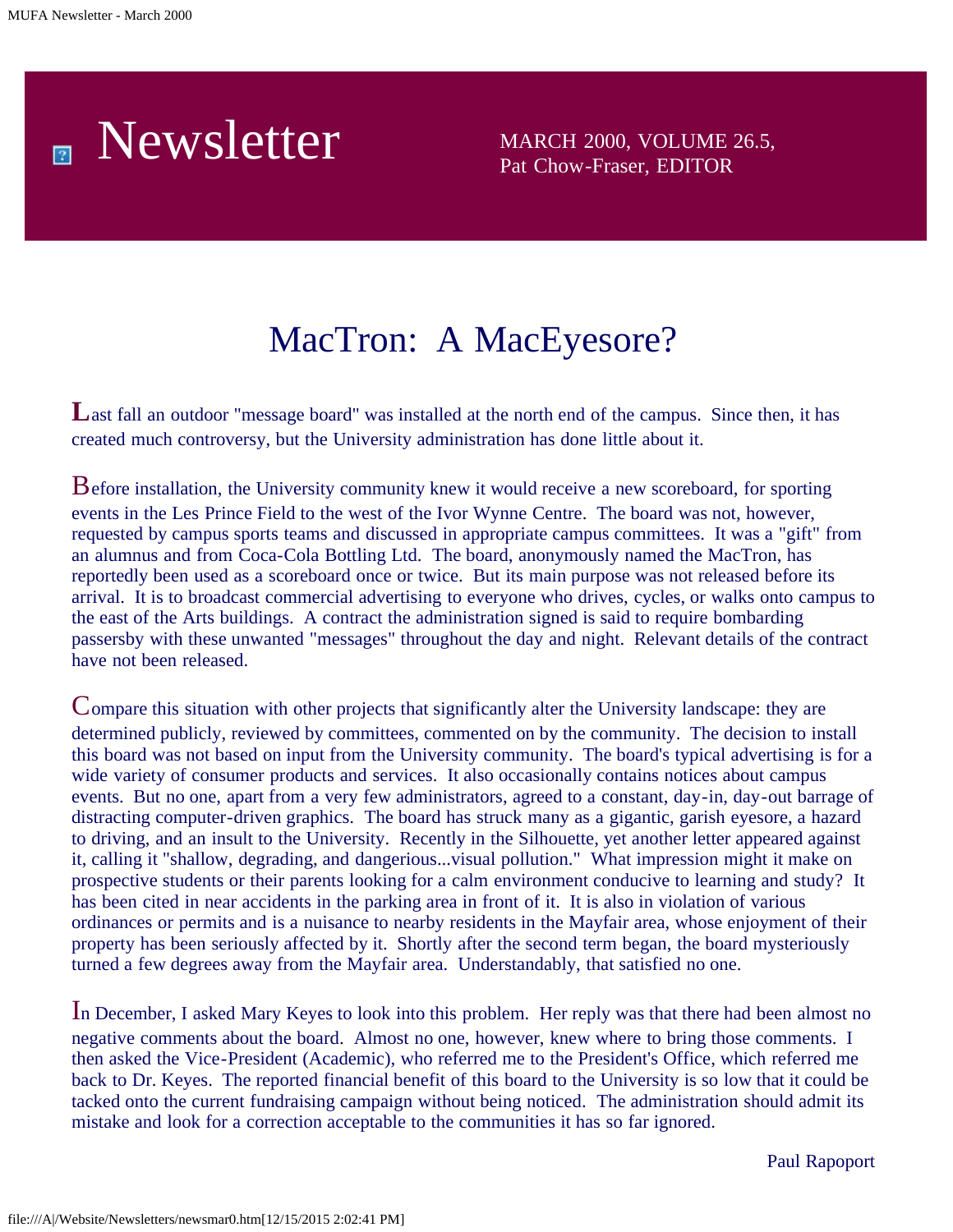### Newsletter MARCH 2000, VOLUME 26.5, 圆

Pat Chow-Fraser, EDITOR

## MacTron: A MacEyesore?

Last fall an outdoor "message board" was installed at the north end of the campus. Since then, it has created much controversy, but the University administration has done little about it.

Before installation, the University community knew it would receive a new scoreboard, for sporting events in the Les Prince Field to the west of the Ivor Wynne Centre. The board was not, however, requested by campus sports teams and discussed in appropriate campus committees. It was a "gift" from an alumnus and from Coca-Cola Bottling Ltd. The board, anonymously named the MacTron, has reportedly been used as a scoreboard once or twice. But its main purpose was not released before its arrival. It is to broadcast commercial advertising to everyone who drives, cycles, or walks onto campus to the east of the Arts buildings. A contract the administration signed is said to require bombarding passersby with these unwanted "messages" throughout the day and night. Relevant details of the contract have not been released.

Compare this situation with other projects that significantly alter the University landscape: they are determined publicly, reviewed by committees, commented on by the community. The decision to install this board was not based on input from the University community. The board's typical advertising is for a wide variety of consumer products and services. It also occasionally contains notices about campus events. But no one, apart from a very few administrators, agreed to a constant, day-in, day-out barrage of distracting computer-driven graphics. The board has struck many as a gigantic, garish eyesore, a hazard to driving, and an insult to the University. Recently in the Silhouette, yet another letter appeared against it, calling it "shallow, degrading, and dangerious...visual pollution." What impression might it make on prospective students or their parents looking for a calm environment conducive to learning and study? It has been cited in near accidents in the parking area in front of it. It is also in violation of various ordinances or permits and is a nuisance to nearby residents in the Mayfair area, whose enjoyment of their property has been seriously affected by it. Shortly after the second term began, the board mysteriously turned a few degrees away from the Mayfair area. Understandably, that satisfied no one.

In December, I asked Mary Keyes to look into this problem. Her reply was that there had been almost no negative comments about the board. Almost no one, however, knew where to bring those comments. I then asked the Vice-President (Academic), who referred me to the President's Office, which referred me back to Dr. Keyes. The reported financial benefit of this board to the University is so low that it could be tacked onto the current fundraising campaign without being noticed. The administration should admit its mistake and look for a correction acceptable to the communities it has so far ignored.

Paul Rapoport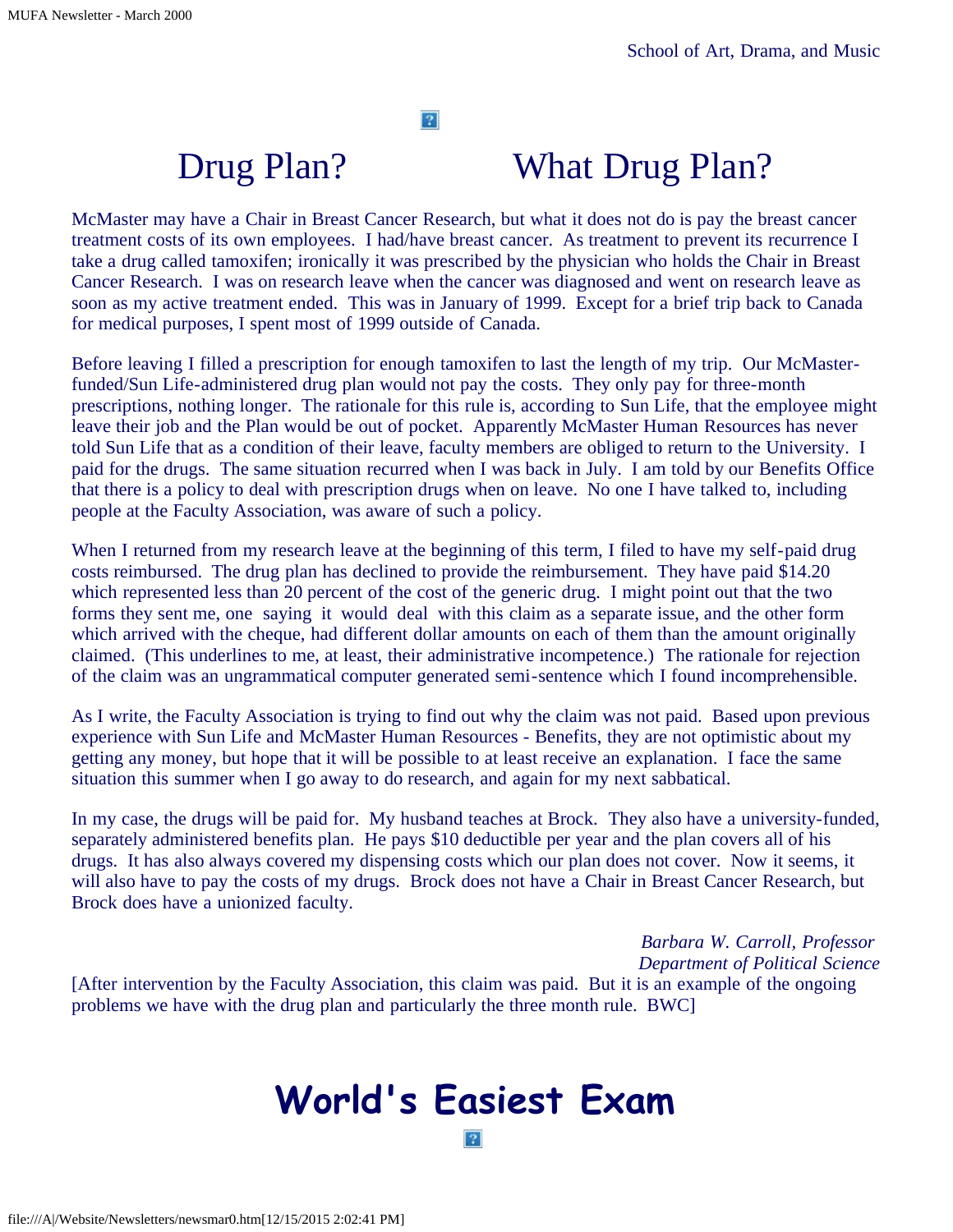$\left|2\right\rangle$ 

### Drug Plan? What Drug Plan?

McMaster may have a Chair in Breast Cancer Research, but what it does not do is pay the breast cancer treatment costs of its own employees. I had/have breast cancer. As treatment to prevent its recurrence I take a drug called tamoxifen; ironically it was prescribed by the physician who holds the Chair in Breast Cancer Research. I was on research leave when the cancer was diagnosed and went on research leave as soon as my active treatment ended. This was in January of 1999. Except for a brief trip back to Canada for medical purposes, I spent most of 1999 outside of Canada.

Before leaving I filled a prescription for enough tamoxifen to last the length of my trip. Our McMasterfunded/Sun Life-administered drug plan would not pay the costs. They only pay for three-month prescriptions, nothing longer. The rationale for this rule is, according to Sun Life, that the employee might leave their job and the Plan would be out of pocket. Apparently McMaster Human Resources has never told Sun Life that as a condition of their leave, faculty members are obliged to return to the University. I paid for the drugs. The same situation recurred when I was back in July. I am told by our Benefits Office that there is a policy to deal with prescription drugs when on leave. No one I have talked to, including people at the Faculty Association, was aware of such a policy.

When I returned from my research leave at the beginning of this term, I filed to have my self-paid drug costs reimbursed. The drug plan has declined to provide the reimbursement. They have paid \$14.20 which represented less than 20 percent of the cost of the generic drug. I might point out that the two forms they sent me, one saying it would deal with this claim as a separate issue, and the other form which arrived with the cheque, had different dollar amounts on each of them than the amount originally claimed. (This underlines to me, at least, their administrative incompetence.) The rationale for rejection of the claim was an ungrammatical computer generated semi-sentence which I found incomprehensible.

As I write, the Faculty Association is trying to find out why the claim was not paid. Based upon previous experience with Sun Life and McMaster Human Resources - Benefits, they are not optimistic about my getting any money, but hope that it will be possible to at least receive an explanation. I face the same situation this summer when I go away to do research, and again for my next sabbatical.

In my case, the drugs will be paid for. My husband teaches at Brock. They also have a university-funded, separately administered benefits plan. He pays \$10 deductible per year and the plan covers all of his drugs. It has also always covered my dispensing costs which our plan does not cover. Now it seems, it will also have to pay the costs of my drugs. Brock does not have a Chair in Breast Cancer Research, but Brock does have a unionized faculty.

*Barbara W. Carroll, Professor Department of Political Science* [After intervention by the Faculty Association, this claim was paid. But it is an example of the ongoing problems we have with the drug plan and particularly the three month rule. BWC]

### **World's Easiest Exam** $|2|$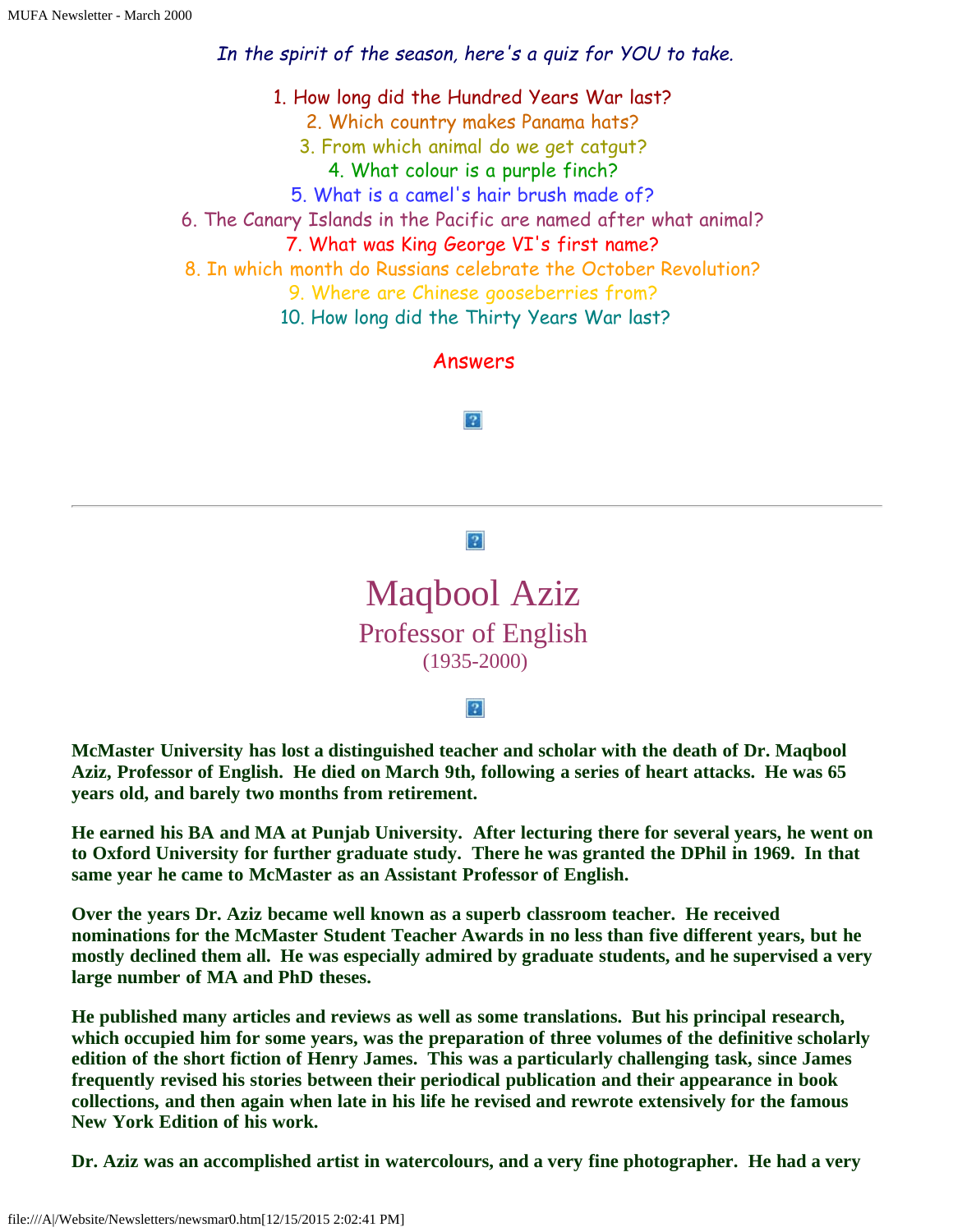In the spirit of the season, here's a quiz for YOU to take.

1. How long did the Hundred Years War last? 2. Which country makes Panama hats? 3. From which animal do we get catgut? 4. What colour is a purple finch? 5. What is a camel's hair brush made of? 6. The Canary Islands in the Pacific are named after what animal? 7. What was King George VI's first name? 8. In which month do Russians celebrate the October Revolution? 9. Where are Chinese gooseberries from? 10. How long did the Thirty Years War last?

Answers

 $|2|$ 

#### $|2|$

Maqbool Aziz Professor of English (1935-2000)

 $|2|$ 

**McMaster University has lost a distinguished teacher and scholar with the death of Dr. Maqbool Aziz, Professor of English. He died on March 9th, following a series of heart attacks. He was 65 years old, and barely two months from retirement.**

**He earned his BA and MA at Punjab University. After lecturing there for several years, he went on to Oxford University for further graduate study. There he was granted the DPhil in 1969. In that same year he came to McMaster as an Assistant Professor of English.**

**Over the years Dr. Aziz became well known as a superb classroom teacher. He received nominations for the McMaster Student Teacher Awards in no less than five different years, but he mostly declined them all. He was especially admired by graduate students, and he supervised a very large number of MA and PhD theses.**

**He published many articles and reviews as well as some translations. But his principal research, which occupied him for some years, was the preparation of three volumes of the definitive scholarly edition of the short fiction of Henry James. This was a particularly challenging task, since James frequently revised his stories between their periodical publication and their appearance in book collections, and then again when late in his life he revised and rewrote extensively for the famous New York Edition of his work.**

**Dr. Aziz was an accomplished artist in watercolours, and a very fine photographer. He had a very**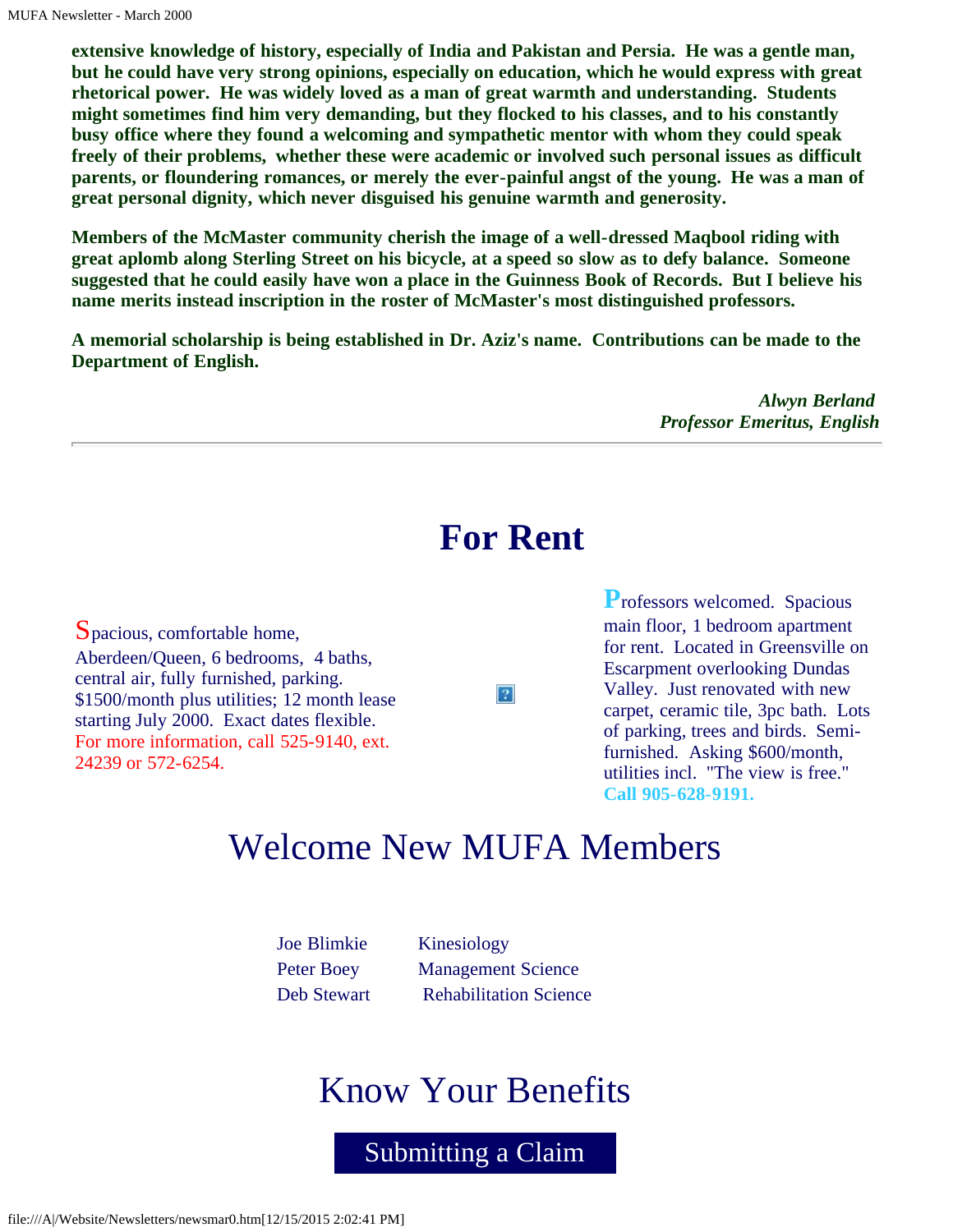**extensive knowledge of history, especially of India and Pakistan and Persia. He was a gentle man, but he could have very strong opinions, especially on education, which he would express with great rhetorical power. He was widely loved as a man of great warmth and understanding. Students might sometimes find him very demanding, but they flocked to his classes, and to his constantly busy office where they found a welcoming and sympathetic mentor with whom they could speak freely of their problems, whether these were academic or involved such personal issues as difficult parents, or floundering romances, or merely the ever-painful angst of the young. He was a man of great personal dignity, which never disguised his genuine warmth and generosity.**

**Members of the McMaster community cherish the image of a well-dressed Maqbool riding with great aplomb along Sterling Street on his bicycle, at a speed so slow as to defy balance. Someone suggested that he could easily have won a place in the Guinness Book of Records. But I believe his name merits instead inscription in the roster of McMaster's most distinguished professors.**

**A memorial scholarship is being established in Dr. Aziz's name. Contributions can be made to the Department of English.**

> *Alwyn Berland Professor Emeritus, English*

### **For Rent**

 $|2|$ 

Spacious, comfortable home, Aberdeen/Queen, 6 bedrooms, 4 baths, central air, fully furnished, parking. \$1500/month plus utilities; 12 month lease starting July 2000. Exact dates flexible. For more information, call 525-9140, ext. 24239 or 572-6254.

**P**rofessors welcomed. Spacious main floor, 1 bedroom apartment for rent. Located in Greensville on Escarpment overlooking Dundas Valley. Just renovated with new carpet, ceramic tile, 3pc bath. Lots of parking, trees and birds. Semifurnished. Asking \$600/month, utilities incl. "The view is free." **Call 905-628-9191.**

### Welcome New MUFA Members

| <b>Joe Blimkie</b> | Kinesiology                   |
|--------------------|-------------------------------|
| Peter Boey         | <b>Management Science</b>     |
| Deb Stewart        | <b>Rehabilitation Science</b> |

### Know Your Benefits

Submitting a Claim